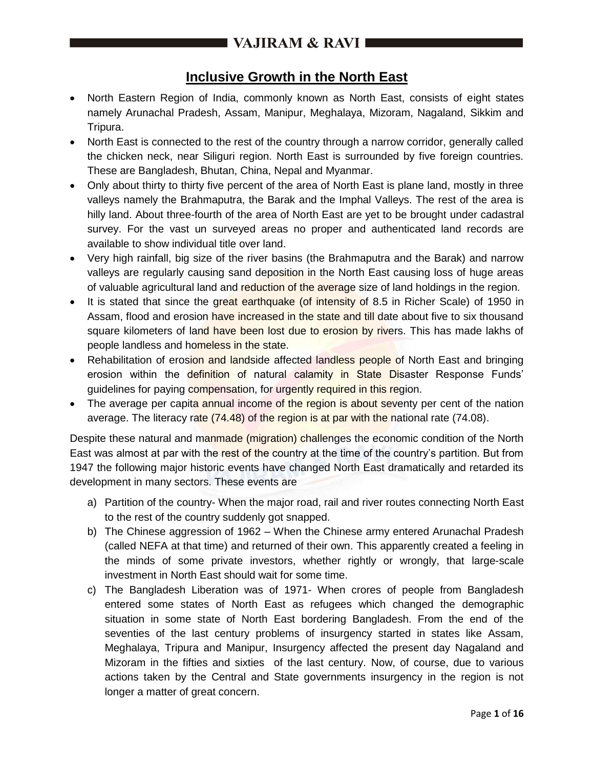### **Inclusive Growth in the North East**

- North Eastern Region of India, commonly known as North East, consists of eight states namely Arunachal Pradesh, Assam, Manipur, Meghalaya, Mizoram, Nagaland, Sikkim and Tripura.
- North East is connected to the rest of the country through a narrow corridor, generally called the chicken neck, near Siliguri region. North East is surrounded by five foreign countries. These are Bangladesh, Bhutan, China, Nepal and Myanmar.
- Only about thirty to thirty five percent of the area of North East is plane land, mostly in three valleys namely the Brahmaputra, the Barak and the Imphal Valleys. The rest of the area is hilly land. About three-fourth of the area of North East are yet to be brought under cadastral survey. For the vast un surveyed areas no proper and authenticated land records are available to show individual title over land.
- Very high rainfall, big size of the river basins (the Brahmaputra and the Barak) and narrow valleys are regularly causing sand deposition in the North East causing loss of huge areas of valuable agricultural land and reduction of the average size of land holdings in the region.
- It is stated that since the great earthquake (of intensity of 8.5 in Richer Scale) of 1950 in Assam, flood and erosion have increased in the state and till date about five to six thousand square kilometers of land have been lost due to erosion by rivers. This has made lakhs of people landless and homeless in the state.
- Rehabilitation of erosion and landside affected landless people of North East and bringing erosion within the definition of natural calamity in State Disaster Response Funds' guidelines for paying compensation, for urgently required in this region.
- The average per capita annual income of the region is about seventy per cent of the nation average. The literacy rate (74.48) of the region is at par with the national rate (74.08).

Despite these natural and manmade (migration) challenges the economic condition of the North East was almost at par with the rest of the country at the time of the country's partition. But from 1947 the following major historic events have changed North East dramatically and retarded its development in many sectors. These events are

- a) Partition of the country- When the major road, rail and river routes connecting North East to the rest of the country suddenly got snapped.
- b) The Chinese aggression of 1962 When the Chinese army entered Arunachal Pradesh (called NEFA at that time) and returned of their own. This apparently created a feeling in the minds of some private investors, whether rightly or wrongly, that large-scale investment in North East should wait for some time.
- c) The Bangladesh Liberation was of 1971- When crores of people from Bangladesh entered some states of North East as refugees which changed the demographic situation in some state of North East bordering Bangladesh. From the end of the seventies of the last century problems of insurgency started in states like Assam, Meghalaya, Tripura and Manipur, Insurgency affected the present day Nagaland and Mizoram in the fifties and sixties of the last century. Now, of course, due to various actions taken by the Central and State governments insurgency in the region is not longer a matter of great concern.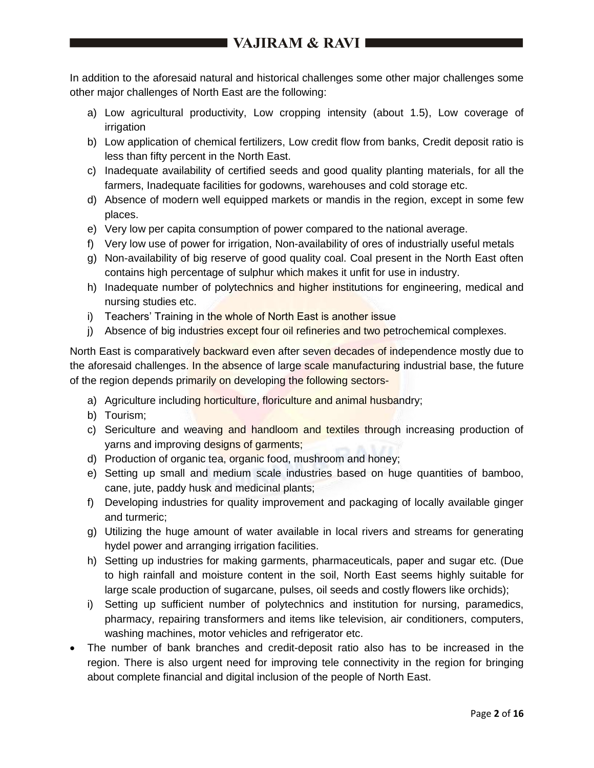In addition to the aforesaid natural and historical challenges some other major challenges some other major challenges of North East are the following:

- a) Low agricultural productivity, Low cropping intensity (about 1.5), Low coverage of irrigation
- b) Low application of chemical fertilizers, Low credit flow from banks, Credit deposit ratio is less than fifty percent in the North East.
- c) Inadequate availability of certified seeds and good quality planting materials, for all the farmers, Inadequate facilities for godowns, warehouses and cold storage etc.
- d) Absence of modern well equipped markets or mandis in the region, except in some few places.
- e) Very low per capita consumption of power compared to the national average.
- f) Very low use of power for irrigation, Non-availability of ores of industrially useful metals
- g) Non-availability of big reserve of good quality coal. Coal present in the North East often contains high percentage of sulphur which makes it unfit for use in industry.
- h) Inadequate number of polytechnics and higher institutions for engineering, medical and nursing studies etc.
- i) Teachers' Training in the whole of North East is another issue
- j) Absence of big industries except four oil refineries and two petrochemical complexes.

North East is comparatively backward even after seven decades of independence mostly due to the aforesaid challenges. In the absence of large scale manufacturing industrial base, the future of the region depends primarily on developing the following sectors-

- a) Agriculture including horticulture, floriculture and animal husbandry;
- b) Tourism;
- c) Sericulture and weaving and handloom and textiles through increasing production of yarns and improving designs of garments;
- d) Production of organic tea, organic food, mushroom and honey;
- e) Setting up small and medium scale industries based on huge quantities of bamboo, cane, jute, paddy husk and medicinal plants;
- f) Developing industries for quality improvement and packaging of locally available ginger and turmeric;
- g) Utilizing the huge amount of water available in local rivers and streams for generating hydel power and arranging irrigation facilities.
- h) Setting up industries for making garments, pharmaceuticals, paper and sugar etc. (Due to high rainfall and moisture content in the soil, North East seems highly suitable for large scale production of sugarcane, pulses, oil seeds and costly flowers like orchids);
- i) Setting up sufficient number of polytechnics and institution for nursing, paramedics, pharmacy, repairing transformers and items like television, air conditioners, computers, washing machines, motor vehicles and refrigerator etc.
- The number of bank branches and credit-deposit ratio also has to be increased in the region. There is also urgent need for improving tele connectivity in the region for bringing about complete financial and digital inclusion of the people of North East.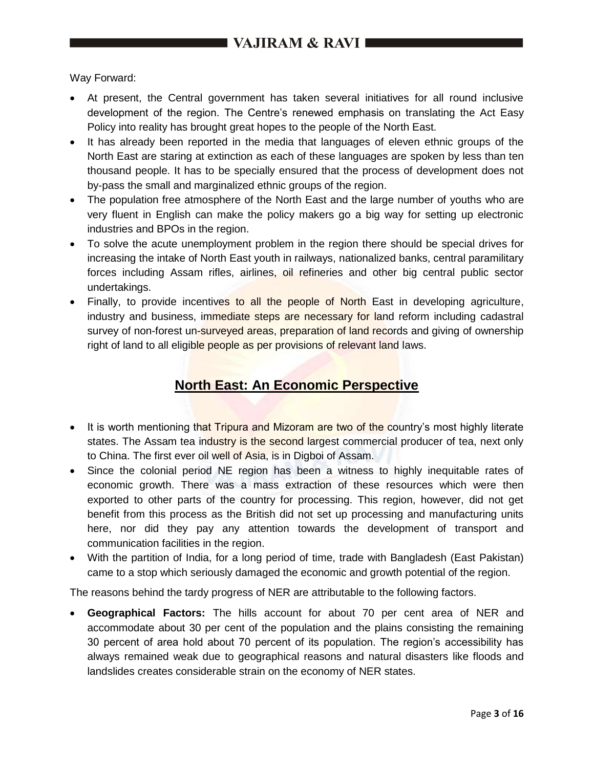Way Forward:

- At present, the Central government has taken several initiatives for all round inclusive development of the region. The Centre's renewed emphasis on translating the Act Easy Policy into reality has brought great hopes to the people of the North East.
- It has already been reported in the media that languages of eleven ethnic groups of the North East are staring at extinction as each of these languages are spoken by less than ten thousand people. It has to be specially ensured that the process of development does not by-pass the small and marginalized ethnic groups of the region.
- The population free atmosphere of the North East and the large number of youths who are very fluent in English can make the policy makers go a big way for setting up electronic industries and BPOs in the region.
- To solve the acute unemployment problem in the region there should be special drives for increasing the intake of North East youth in railways, nationalized banks, central paramilitary forces including Assam rifles, airlines, oil refineries and other big central public sector undertakings.
- Finally, to provide incentives to all the people of North East in developing agriculture, industry and business, immediate steps are necessary for land reform including cadastral survey of non-forest un-surveyed areas, preparation of land records and giving of ownership right of land to all eligible people as per provisions of relevant land laws.

### **North East: An Economic Perspective**

- It is worth mentioning that Tripura and Mizoram are two of the country's most highly literate states. The Assam tea industry is the second largest commercial producer of tea, next only to China. The first ever oil well of Asia, is in Digboi of Assam.
- Since the colonial period NE region has been a witness to highly inequitable rates of economic growth. There was a mass extraction of these resources which were then exported to other parts of the country for processing. This region, however, did not get benefit from this process as the British did not set up processing and manufacturing units here, nor did they pay any attention towards the development of transport and communication facilities in the region.
- With the partition of India, for a long period of time, trade with Bangladesh (East Pakistan) came to a stop which seriously damaged the economic and growth potential of the region.

The reasons behind the tardy progress of NER are attributable to the following factors.

 **Geographical Factors:** The hills account for about 70 per cent area of NER and accommodate about 30 per cent of the population and the plains consisting the remaining 30 percent of area hold about 70 percent of its population. The region's accessibility has always remained weak due to geographical reasons and natural disasters like floods and landslides creates considerable strain on the economy of NER states.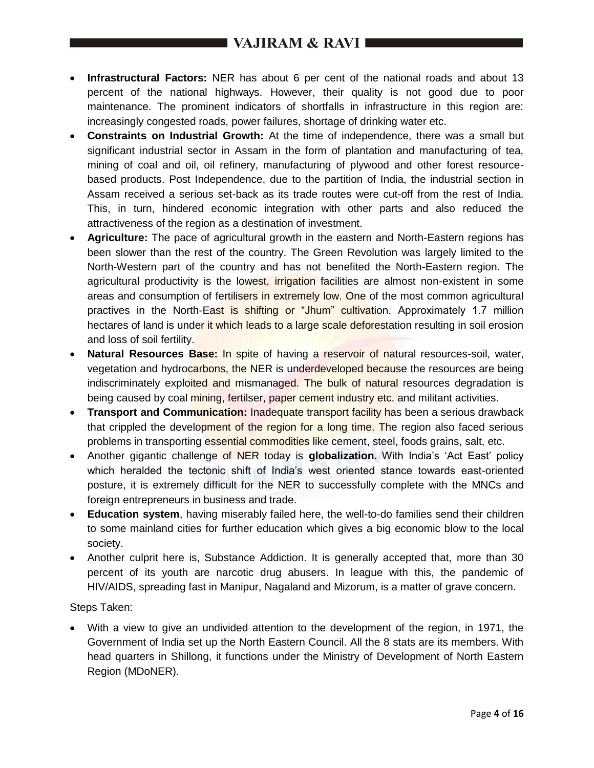- **Infrastructural Factors:** NER has about 6 per cent of the national roads and about 13 percent of the national highways. However, their quality is not good due to poor maintenance. The prominent indicators of shortfalls in infrastructure in this region are: increasingly congested roads, power failures, shortage of drinking water etc.
- **Constraints on Industrial Growth:** At the time of independence, there was a small but significant industrial sector in Assam in the form of plantation and manufacturing of tea, mining of coal and oil, oil refinery, manufacturing of plywood and other forest resourcebased products. Post Independence, due to the partition of India, the industrial section in Assam received a serious set-back as its trade routes were cut-off from the rest of India. This, in turn, hindered economic integration with other parts and also reduced the attractiveness of the region as a destination of investment.
- **Agriculture:** The pace of agricultural growth in the eastern and North-Eastern regions has been slower than the rest of the country. The Green Revolution was largely limited to the North-Western part of the country and has not benefited the North-Eastern region. The agricultural productivity is the lowest, irrigation facilities are almost non-existent in some areas and consumption of fertilisers in extremely low. One of the most common agricultural practives in the North-East is shifting or "Jhum" cultivation. Approximately 1.7 million hectares of land is under it which leads to a large scale deforestation resulting in soil erosion and loss of soil fertility.
- **Natural Resources Base:** In spite of having a reservoir of natural resources-soil, water, vegetation and hydrocarbons, the NER is underdeveloped because the resources are being indiscriminately exploited and mismanaged. The bulk of natural resources degradation is being caused by coal mining, fertilser, paper cement industry etc. and militant activities.
- **Transport and Communication:** Inadequate transport facility has been a serious drawback that crippled the development of the region for a long time. The region also faced serious problems in transporting essential commodities like cement, steel, foods grains, salt, etc.
- Another gigantic challenge of NER today is **globalization.** With India's 'Act East' policy which heralded the tectonic shift of India's west oriented stance towards east-oriented posture, it is extremely difficult for the NER to successfully complete with the MNCs and foreign entrepreneurs in business and trade.
- **Education system**, having miserably failed here, the well-to-do families send their children to some mainland cities for further education which gives a big economic blow to the local society.
- Another culprit here is, Substance Addiction. It is generally accepted that, more than 30 percent of its youth are narcotic drug abusers. In league with this, the pandemic of HIV/AIDS, spreading fast in Manipur, Nagaland and Mizorum, is a matter of grave concern.

Steps Taken:

 With a view to give an undivided attention to the development of the region, in 1971, the Government of India set up the North Eastern Council. All the 8 stats are its members. With head quarters in Shillong, it functions under the Ministry of Development of North Eastern Region (MDoNER).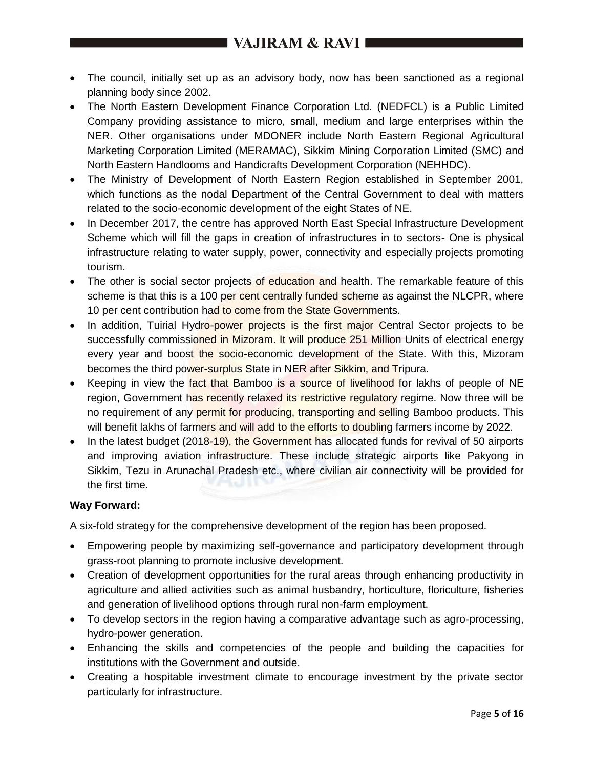- The council, initially set up as an advisory body, now has been sanctioned as a regional planning body since 2002.
- The North Eastern Development Finance Corporation Ltd. (NEDFCL) is a Public Limited Company providing assistance to micro, small, medium and large enterprises within the NER. Other organisations under MDONER include North Eastern Regional Agricultural Marketing Corporation Limited (MERAMAC), Sikkim Mining Corporation Limited (SMC) and North Eastern Handlooms and Handicrafts Development Corporation (NEHHDC).
- The Ministry of Development of North Eastern Region established in September 2001, which functions as the nodal Department of the Central Government to deal with matters related to the socio-economic development of the eight States of NE.
- In December 2017, the centre has approved North East Special Infrastructure Development Scheme which will fill the gaps in creation of infrastructures in to sectors- One is physical infrastructure relating to water supply, power, connectivity and especially projects promoting tourism.
- The other is social sector projects of education and health. The remarkable feature of this scheme is that this is a 100 per cent centrally funded scheme as against the NLCPR, where 10 per cent contribution had to come from the State Governments.
- In addition, Tuirial Hydro-power projects is the first major Central Sector projects to be successfully commissioned in Mizoram. It will produce 251 Million Units of electrical energy every year and boost the socio-economic development of the State. With this, Mizoram becomes the third power-surplus State in NER after Sikkim, and Tripura.
- Keeping in view the fact that Bamboo is a source of livelihood for lakhs of people of NE region, Government has recently relaxed its restrictive regulatory regime. Now three will be no requirement of any permit for producing, transporting and selling Bamboo products. This will benefit lakhs of farmers and will add to the efforts to doubling farmers income by 2022.
- In the latest budget (2018-19), the Government has allocated funds for revival of 50 airports and improving aviation infrastructure. These include strategic airports like Pakyong in Sikkim, Tezu in Arunachal Pradesh etc., where civilian air connectivity will be provided for the first time.

### **Way Forward:**

A six-fold strategy for the comprehensive development of the region has been proposed.

- Empowering people by maximizing self-governance and participatory development through grass-root planning to promote inclusive development.
- Creation of development opportunities for the rural areas through enhancing productivity in agriculture and allied activities such as animal husbandry, horticulture, floriculture, fisheries and generation of livelihood options through rural non-farm employment.
- To develop sectors in the region having a comparative advantage such as agro-processing, hydro-power generation.
- Enhancing the skills and competencies of the people and building the capacities for institutions with the Government and outside.
- Creating a hospitable investment climate to encourage investment by the private sector particularly for infrastructure.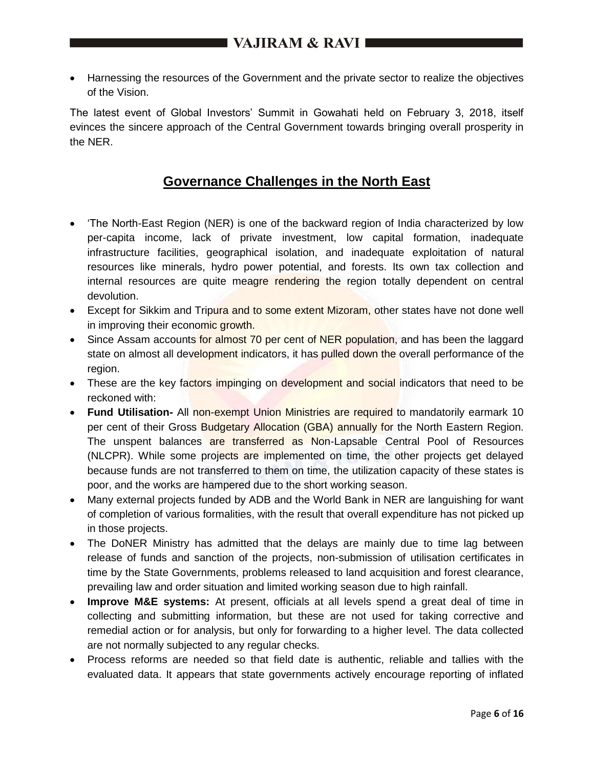Harnessing the resources of the Government and the private sector to realize the objectives of the Vision.

The latest event of Global Investors' Summit in Gowahati held on February 3, 2018, itself evinces the sincere approach of the Central Government towards bringing overall prosperity in the NER.

### **Governance Challenges in the North East**

- 'The North-East Region (NER) is one of the backward region of India characterized by low per-capita income, lack of private investment, low capital formation, inadequate infrastructure facilities, geographical isolation, and inadequate exploitation of natural resources like minerals, hydro power potential, and forests. Its own tax collection and internal resources are quite meagre rendering the region totally dependent on central devolution.
- Except for Sikkim and Tripura and to some extent Mizoram, other states have not done well in improving their economic growth.
- Since Assam accounts for almost 70 per cent of NER population, and has been the laggard state on almost all development indicators, it has pulled down the overall performance of the region.
- These are the key factors impinging on development and social indicators that need to be reckoned with:
- **Fund Utilisation-** All non-exempt Union Ministries are required to mandatorily earmark 10 per cent of their Gross Budgetary Allocation (GBA) annually for the North Eastern Region. The unspent balances are transferred as Non-Lapsable Central Pool of Resources (NLCPR). While some projects are implemented on time, the other projects get delayed because funds are not transferred to them on time, the utilization capacity of these states is poor, and the works are hampered due to the short working season.
- Many external projects funded by ADB and the World Bank in NER are languishing for want of completion of various formalities, with the result that overall expenditure has not picked up in those projects.
- The DoNER Ministry has admitted that the delays are mainly due to time lag between release of funds and sanction of the projects, non-submission of utilisation certificates in time by the State Governments, problems released to land acquisition and forest clearance, prevailing law and order situation and limited working season due to high rainfall.
- **Improve M&E systems:** At present, officials at all levels spend a great deal of time in collecting and submitting information, but these are not used for taking corrective and remedial action or for analysis, but only for forwarding to a higher level. The data collected are not normally subjected to any regular checks.
- Process reforms are needed so that field date is authentic, reliable and tallies with the evaluated data. It appears that state governments actively encourage reporting of inflated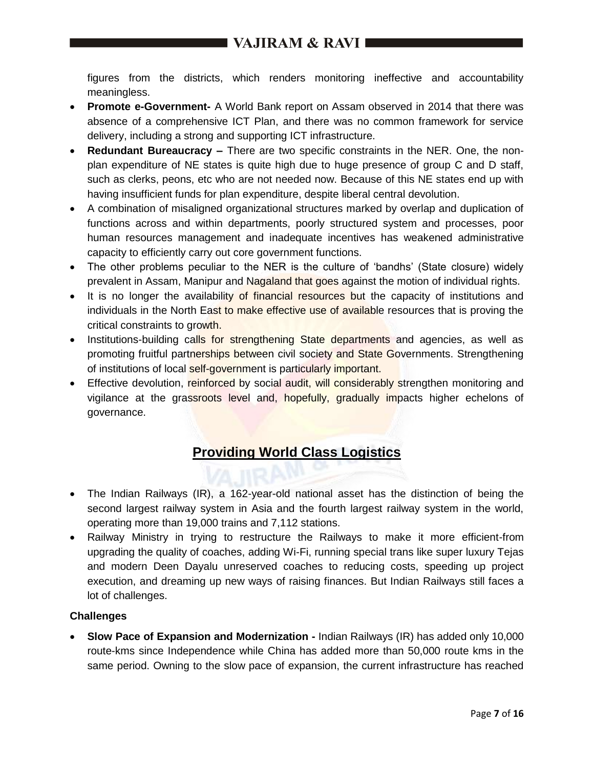figures from the districts, which renders monitoring ineffective and accountability meaningless.

- **Promote e-Government-** A World Bank report on Assam observed in 2014 that there was absence of a comprehensive ICT Plan, and there was no common framework for service delivery, including a strong and supporting ICT infrastructure.
- **Redundant Bureaucracy –** There are two specific constraints in the NER. One, the nonplan expenditure of NE states is quite high due to huge presence of group C and D staff, such as clerks, peons, etc who are not needed now. Because of this NE states end up with having insufficient funds for plan expenditure, despite liberal central devolution.
- A combination of misaligned organizational structures marked by overlap and duplication of functions across and within departments, poorly structured system and processes, poor human resources management and inadequate incentives has weakened administrative capacity to efficiently carry out core government functions.
- The other problems peculiar to the NER is the culture of 'bandhs' (State closure) widely prevalent in Assam, Manipur and Nagaland that goes against the motion of individual rights.
- It is no longer the availability of financial resources but the capacity of institutions and individuals in the North East to make effective use of available resources that is proving the critical constraints to growth.
- Institutions-building calls for strengthening State departments and agencies, as well as promoting fruitful partnerships between civil society and State Governments. Strengthening of institutions of local self-government is particularly important.
- Effective devolution, reinforced by social audit, will considerably strengthen monitoring and vigilance at the grassroots level and, hopefully, gradually impacts higher echelons of governance.

# **Providing World Class Logistics**

- The Indian Railways (IR), a 162-year-old national asset has the distinction of being the second largest railway system in Asia and the fourth largest railway system in the world, operating more than 19,000 trains and 7,112 stations.
- Railway Ministry in trying to restructure the Railways to make it more efficient-from upgrading the quality of coaches, adding Wi-Fi, running special trans like super luxury Tejas and modern Deen Dayalu unreserved coaches to reducing costs, speeding up project execution, and dreaming up new ways of raising finances. But Indian Railways still faces a lot of challenges.

### **Challenges**

 **Slow Pace of Expansion and Modernization -** Indian Railways (IR) has added only 10,000 route-kms since Independence while China has added more than 50,000 route kms in the same period. Owning to the slow pace of expansion, the current infrastructure has reached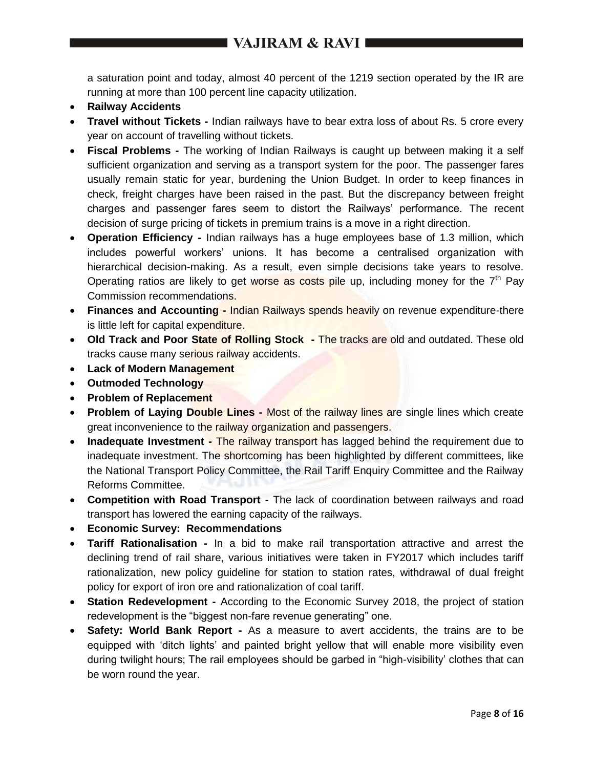a saturation point and today, almost 40 percent of the 1219 section operated by the IR are running at more than 100 percent line capacity utilization.

- **Railway Accidents**
- **Travel without Tickets -** Indian railways have to bear extra loss of about Rs. 5 crore every year on account of travelling without tickets.
- **Fiscal Problems -** The working of Indian Railways is caught up between making it a self sufficient organization and serving as a transport system for the poor. The passenger fares usually remain static for year, burdening the Union Budget. In order to keep finances in check, freight charges have been raised in the past. But the discrepancy between freight charges and passenger fares seem to distort the Railways' performance. The recent decision of surge pricing of tickets in premium trains is a move in a right direction.
- **Operation Efficiency -** Indian railways has a huge employees base of 1.3 million, which includes powerful workers' unions. It has become a centralised organization with hierarchical decision-making. As a result, even simple decisions take years to resolve. Operating ratios are likely to get worse as costs pile up, including money for the  $7<sup>th</sup>$  Pay Commission recommendations.
- **Finances and Accounting Indian Railways spends heavily on revenue expenditure-there** is little left for capital expenditure.
- **Old Track and Poor State of Rolling Stock -** The tracks are old and outdated. These old tracks cause many serious railway accidents.
- **Lack of Modern Management**
- **Outmoded Technology**
- **Problem of Replacement**
- **Problem of Laying Double Lines -** Most of the railway lines are single lines which create great inconvenience to the railway organization and passengers.
- **Inadequate Investment -** The railway transport has lagged behind the requirement due to inadequate investment. The shortcoming has been highlighted by different committees, like the National Transport Policy Committee, the Rail Tariff Enquiry Committee and the Railway Reforms Committee.
- **Competition with Road Transport -** The lack of coordination between railways and road transport has lowered the earning capacity of the railways.
- **Economic Survey: Recommendations**
- **Tariff Rationalisation -** In a bid to make rail transportation attractive and arrest the declining trend of rail share, various initiatives were taken in FY2017 which includes tariff rationalization, new policy guideline for station to station rates, withdrawal of dual freight policy for export of iron ore and rationalization of coal tariff.
- **Station Redevelopment -** According to the Economic Survey 2018, the project of station redevelopment is the "biggest non-fare revenue generating" one.
- **Safety: World Bank Report -** As a measure to avert accidents, the trains are to be equipped with 'ditch lights' and painted bright yellow that will enable more visibility even during twilight hours; The rail employees should be garbed in "high-visibility' clothes that can be worn round the year.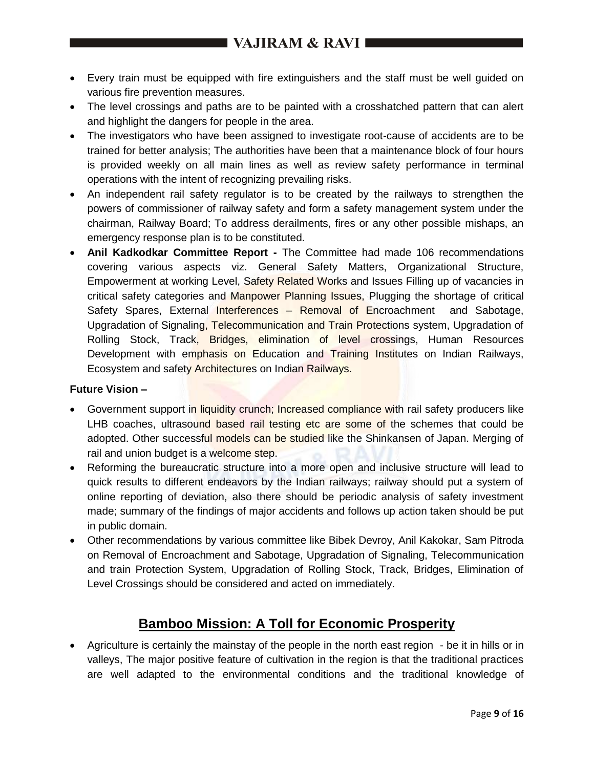- Every train must be equipped with fire extinguishers and the staff must be well guided on various fire prevention measures.
- The level crossings and paths are to be painted with a crosshatched pattern that can alert and highlight the dangers for people in the area.
- The investigators who have been assigned to investigate root-cause of accidents are to be trained for better analysis; The authorities have been that a maintenance block of four hours is provided weekly on all main lines as well as review safety performance in terminal operations with the intent of recognizing prevailing risks.
- An independent rail safety regulator is to be created by the railways to strengthen the powers of commissioner of railway safety and form a safety management system under the chairman, Railway Board; To address derailments, fires or any other possible mishaps, an emergency response plan is to be constituted.
- **Anil Kadkodkar Committee Report -** The Committee had made 106 recommendations covering various aspects viz. General Safety Matters, Organizational Structure, Empowerment at working Level, Safety Related Works and Issues Filling up of vacancies in critical safety categories and Manpower Planning Issues, Plugging the shortage of critical Safety Spares, External Interferences – Removal of Encroachment and Sabotage, Upgradation of Signaling, Telecommunication and Train Protections system, Upgradation of Rolling Stock, Track, Bridges, elimination of level crossings, Human Resources Development with emphasis on Education and Training Institutes on Indian Railways, Ecosystem and safety Architectures on Indian Railways.

### **Future Vision –**

- Government support in liquidity crunch; Increased compliance with rail safety producers like LHB coaches, ultrasound based rail testing etc are some of the schemes that could be adopted. Other successful models can be studied like the Shinkansen of Japan. Merging of rail and union budget is a welcome step.
- Reforming the bureaucratic structure into a more open and inclusive structure will lead to quick results to different endeavors by the Indian railways; railway should put a system of online reporting of deviation, also there should be periodic analysis of safety investment made; summary of the findings of major accidents and follows up action taken should be put in public domain.
- Other recommendations by various committee like Bibek Devroy, Anil Kakokar, Sam Pitroda on Removal of Encroachment and Sabotage, Upgradation of Signaling, Telecommunication and train Protection System, Upgradation of Rolling Stock, Track, Bridges, Elimination of Level Crossings should be considered and acted on immediately.

### **Bamboo Mission: A Toll for Economic Prosperity**

 Agriculture is certainly the mainstay of the people in the north east region - be it in hills or in valleys, The major positive feature of cultivation in the region is that the traditional practices are well adapted to the environmental conditions and the traditional knowledge of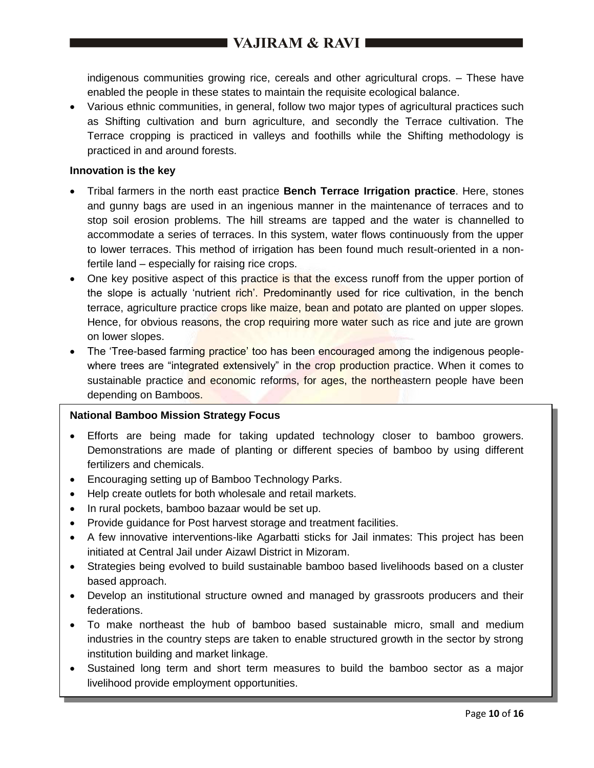indigenous communities growing rice, cereals and other agricultural crops. – These have enabled the people in these states to maintain the requisite ecological balance.

 Various ethnic communities, in general, follow two major types of agricultural practices such as Shifting cultivation and burn agriculture, and secondly the Terrace cultivation. The Terrace cropping is practiced in valleys and foothills while the Shifting methodology is practiced in and around forests.

#### **Innovation is the key**

- Tribal farmers in the north east practice **Bench Terrace Irrigation practice**. Here, stones and gunny bags are used in an ingenious manner in the maintenance of terraces and to stop soil erosion problems. The hill streams are tapped and the water is channelled to accommodate a series of terraces. In this system, water flows continuously from the upper to lower terraces. This method of irrigation has been found much result-oriented in a nonfertile land – especially for raising rice crops.
- One key positive aspect of this practice is that the excess runoff from the upper portion of the slope is actually 'nutrient rich'. Predominantly used for rice cultivation, in the bench terrace, agriculture practice crops like maize, bean and potato are planted on upper slopes. Hence, for obvious reasons, the crop requiring more water such as rice and jute are grown on lower slopes.
- The 'Tree-based farming practice' too has been encouraged among the indigenous peoplewhere trees are "integrated extensively" in the crop production practice. When it comes to sustainable practice and economic reforms, for ages, the northeastern people have been depending on Bamboos.

### **National Bamboo Mission Strategy Focus**

- Efforts are being made for taking updated technology closer to bamboo growers. Demonstrations are made of planting or different species of bamboo by using different fertilizers and chemicals.
- Encouraging setting up of Bamboo Technology Parks.
- Help create outlets for both wholesale and retail markets.
- In rural pockets, bamboo bazaar would be set up.
- Provide guidance for Post harvest storage and treatment facilities.
- A few innovative interventions-like Agarbatti sticks for Jail inmates: This project has been initiated at Central Jail under Aizawl District in Mizoram.
- Strategies being evolved to build sustainable bamboo based livelihoods based on a cluster based approach.
- Develop an institutional structure owned and managed by grassroots producers and their federations.
- To make northeast the hub of bamboo based sustainable micro, small and medium industries in the country steps are taken to enable structured growth in the sector by strong institution building and market linkage.
- Sustained long term and short term measures to build the bamboo sector as a major livelihood provide employment opportunities.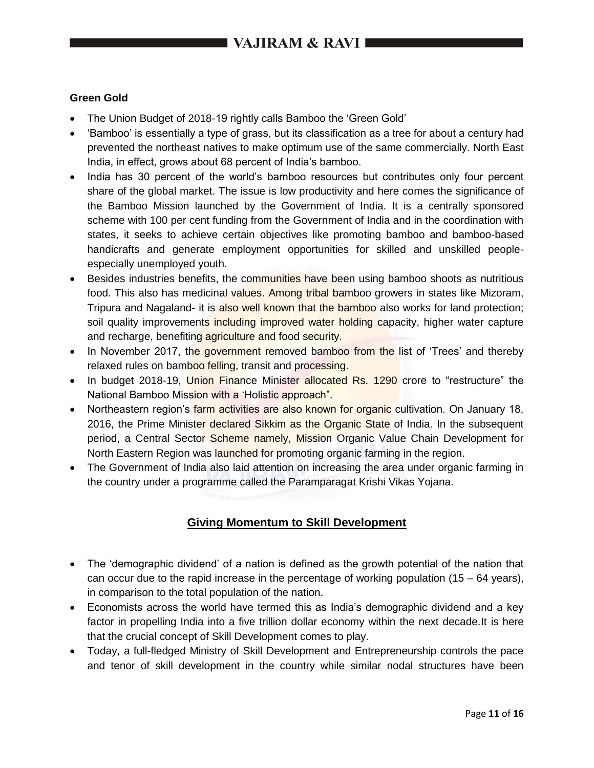### **Green Gold**

- The Union Budget of 2018-19 rightly calls Bamboo the 'Green Gold'
- 'Bamboo' is essentially a type of grass, but its classification as a tree for about a century had prevented the northeast natives to make optimum use of the same commercially. North East India, in effect, grows about 68 percent of India's bamboo.
- India has 30 percent of the world's bamboo resources but contributes only four percent share of the global market. The issue is low productivity and here comes the significance of the Bamboo Mission launched by the Government of India. It is a centrally sponsored scheme with 100 per cent funding from the Government of India and in the coordination with states, it seeks to achieve certain objectives like promoting bamboo and bamboo-based handicrafts and generate employment opportunities for skilled and unskilled peopleespecially unemployed youth.
- Besides industries benefits, the communities have been using bamboo shoots as nutritious food. This also has medicinal values. Among tribal bamboo growers in states like Mizoram, Tripura and Nagaland- it is also well known that the bamboo also works for land protection; soil quality improvements including improved water holding capacity, higher water capture and recharge, benefiting agriculture and food security.
- In November 2017, the government removed bamboo from the list of 'Trees' and thereby relaxed rules on bamboo felling, transit and processing.
- In budget 2018-19, Union Finance Minister allocated Rs. 1290 crore to "restructure" the National Bamboo Mission with a 'Holistic approach".
- Northeastern region's farm activities are also known for organic cultivation. On January 18, 2016, the Prime Minister declared Sikkim as the Organic State of India. In the subsequent period, a Central Sector Scheme namely, Mission Organic Value Chain Development for North Eastern Region was launched for promoting organic farming in the region.
- The Government of India also laid attention on increasing the area under organic farming in the country under a programme called the Paramparagat Krishi Vikas Yojana.

### **Giving Momentum to Skill Development**

- The 'demographic dividend' of a nation is defined as the growth potential of the nation that can occur due to the rapid increase in the percentage of working population  $(15 - 64 \text{ years})$ , in comparison to the total population of the nation.
- Economists across the world have termed this as India's demographic dividend and a key factor in propelling India into a five trillion dollar economy within the next decade.It is here that the crucial concept of Skill Development comes to play.
- Today, a full-fledged Ministry of Skill Development and Entrepreneurship controls the pace and tenor of skill development in the country while similar nodal structures have been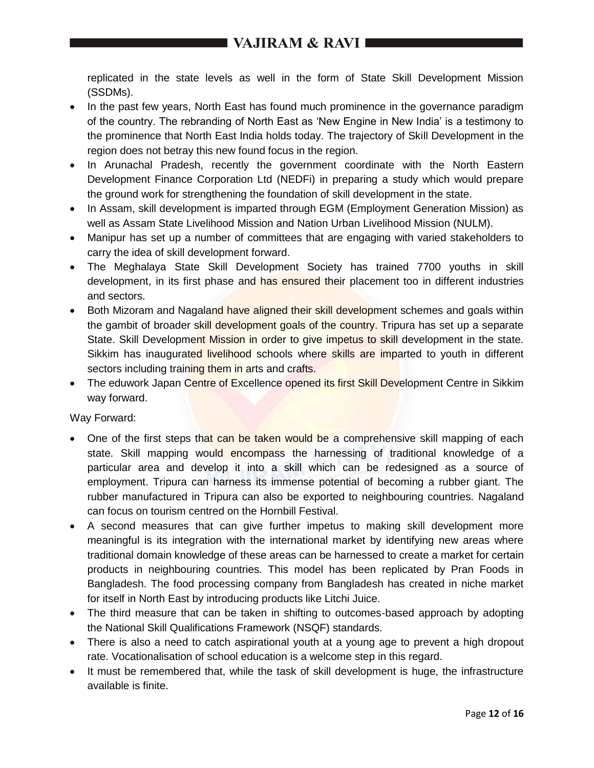replicated in the state levels as well in the form of State Skill Development Mission (SSDMs).

- In the past few years, North East has found much prominence in the governance paradigm of the country. The rebranding of North East as 'New Engine in New India' is a testimony to the prominence that North East India holds today. The trajectory of Skill Development in the region does not betray this new found focus in the region.
- In Arunachal Pradesh, recently the government coordinate with the North Eastern Development Finance Corporation Ltd (NEDFi) in preparing a study which would prepare the ground work for strengthening the foundation of skill development in the state.
- In Assam, skill development is imparted through EGM (Employment Generation Mission) as well as Assam State Livelihood Mission and Nation Urban Livelihood Mission (NULM).
- Manipur has set up a number of committees that are engaging with varied stakeholders to carry the idea of skill development forward.
- The Meghalaya State Skill Development Society has trained 7700 youths in skill development, in its first phase and has ensured their placement too in different industries and sectors.
- Both Mizoram and Nagaland have aligned their skill development schemes and goals within the gambit of broader skill development goals of the country. Tripura has set up a separate State. Skill Development Mission in order to give impetus to skill development in the state. Sikkim has inaugurated livelihood schools where skills are imparted to youth in different sectors including training them in arts and crafts.
- The eduwork Japan Centre of Excellence opened its first Skill Development Centre in Sikkim way forward.

Way Forward:

- One of the first steps that can be taken would be a comprehensive skill mapping of each state. Skill mapping would encompass the harnessing of traditional knowledge of a particular area and develop it into a skill which can be redesigned as a source of employment. Tripura can harness its immense potential of becoming a rubber giant. The rubber manufactured in Tripura can also be exported to neighbouring countries. Nagaland can focus on tourism centred on the Hornbill Festival.
- A second measures that can give further impetus to making skill development more meaningful is its integration with the international market by identifying new areas where traditional domain knowledge of these areas can be harnessed to create a market for certain products in neighbouring countries. This model has been replicated by Pran Foods in Bangladesh. The food processing company from Bangladesh has created in niche market for itself in North East by introducing products like Litchi Juice.
- The third measure that can be taken in shifting to outcomes-based approach by adopting the National Skill Qualifications Framework (NSQF) standards.
- There is also a need to catch aspirational youth at a young age to prevent a high dropout rate. Vocationalisation of school education is a welcome step in this regard.
- It must be remembered that, while the task of skill development is huge, the infrastructure available is finite.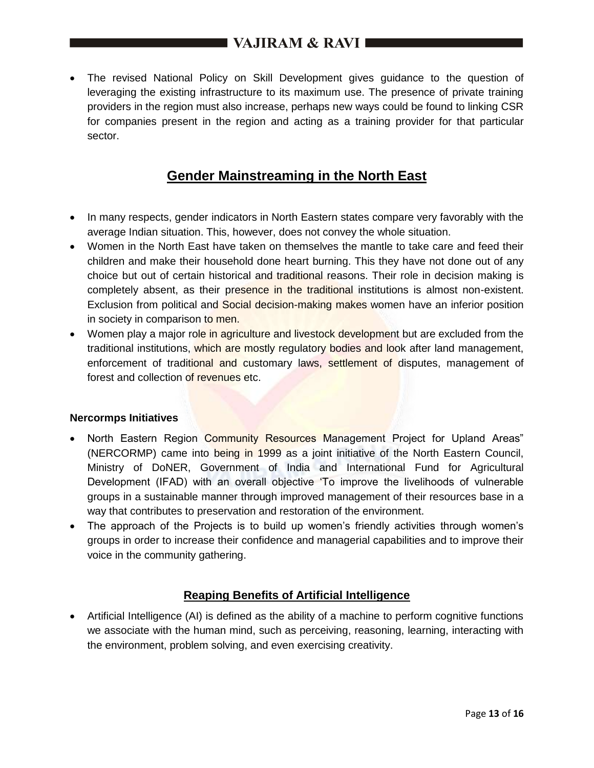The revised National Policy on Skill Development gives guidance to the question of leveraging the existing infrastructure to its maximum use. The presence of private training providers in the region must also increase, perhaps new ways could be found to linking CSR for companies present in the region and acting as a training provider for that particular sector.

# **Gender Mainstreaming in the North East**

- In many respects, gender indicators in North Eastern states compare very favorably with the average Indian situation. This, however, does not convey the whole situation.
- Women in the North East have taken on themselves the mantle to take care and feed their children and make their household done heart burning. This they have not done out of any choice but out of certain historical and traditional reasons. Their role in decision making is completely absent, as their presence in the traditional institutions is almost non-existent. Exclusion from political and Social decision-making makes women have an inferior position in society in comparison to men.
- Women play a major role in agriculture and livestock development but are excluded from the traditional institutions, which are mostly regulatory bodies and look after land management, enforcement of traditional and customary laws, settlement of disputes, management of forest and collection of revenues etc.

#### **Nercormps Initiatives**

- North Eastern Region Community Resources Management Project for Upland Areas" (NERCORMP) came into being in 1999 as a joint initiative of the North Eastern Council, Ministry of DoNER, Government of India and International Fund for Agricultural Development (IFAD) with an overall objective 'To improve the livelihoods of vulnerable groups in a sustainable manner through improved management of their resources base in a way that contributes to preservation and restoration of the environment.
- The approach of the Projects is to build up women's friendly activities through women's groups in order to increase their confidence and managerial capabilities and to improve their voice in the community gathering.

### **Reaping Benefits of Artificial Intelligence**

 Artificial Intelligence (AI) is defined as the ability of a machine to perform cognitive functions we associate with the human mind, such as perceiving, reasoning, learning, interacting with the environment, problem solving, and even exercising creativity.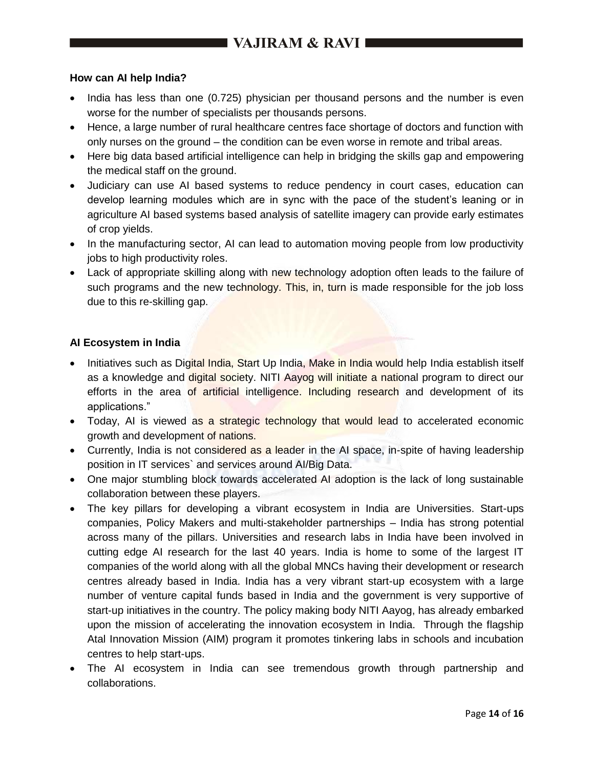### **How can AI help India?**

- India has less than one (0.725) physician per thousand persons and the number is even worse for the number of specialists per thousands persons.
- Hence, a large number of rural healthcare centres face shortage of doctors and function with only nurses on the ground – the condition can be even worse in remote and tribal areas.
- Here big data based artificial intelligence can help in bridging the skills gap and empowering the medical staff on the ground.
- Judiciary can use AI based systems to reduce pendency in court cases, education can develop learning modules which are in sync with the pace of the student's leaning or in agriculture AI based systems based analysis of satellite imagery can provide early estimates of crop yields.
- In the manufacturing sector, AI can lead to automation moving people from low productivity jobs to high productivity roles.
- Lack of appropriate skilling along with new technology adoption often leads to the failure of such programs and the new technology. This, in, turn is made responsible for the job loss due to this re-skilling gap.

### **AI Ecosystem in India**

- Initiatives such as Digital India, Start Up India, Make in India would help India establish itself as a knowledge and digital society. NITI Aayog will initiate a national program to direct our efforts in the area of artificial intelligence. Including research and development of its applications."
- Today, AI is viewed as a strategic technology that would lead to accelerated economic growth and development of nations.
- Currently, India is not considered as a leader in the AI space, in-spite of having leadership position in IT services` and services around AI/Big Data.
- One major stumbling block towards accelerated AI adoption is the lack of long sustainable collaboration between these players.
- The key pillars for developing a vibrant ecosystem in India are Universities. Start-ups companies, Policy Makers and multi-stakeholder partnerships – India has strong potential across many of the pillars. Universities and research labs in India have been involved in cutting edge AI research for the last 40 years. India is home to some of the largest IT companies of the world along with all the global MNCs having their development or research centres already based in India. India has a very vibrant start-up ecosystem with a large number of venture capital funds based in India and the government is very supportive of start-up initiatives in the country. The policy making body NITI Aayog, has already embarked upon the mission of accelerating the innovation ecosystem in India. Through the flagship Atal Innovation Mission (AIM) program it promotes tinkering labs in schools and incubation centres to help start-ups.
- The AI ecosystem in India can see tremendous growth through partnership and collaborations.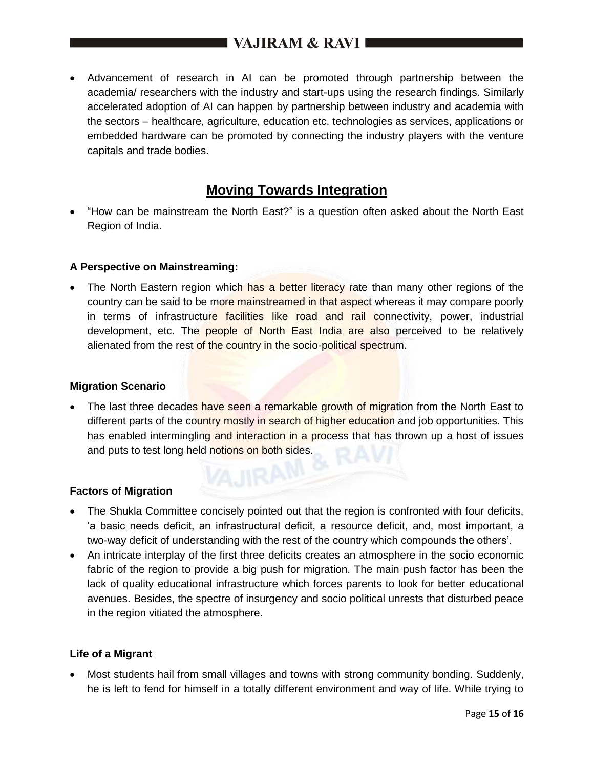Advancement of research in AI can be promoted through partnership between the academia/ researchers with the industry and start-ups using the research findings. Similarly accelerated adoption of AI can happen by partnership between industry and academia with the sectors – healthcare, agriculture, education etc. technologies as services, applications or embedded hardware can be promoted by connecting the industry players with the venture capitals and trade bodies.

### **Moving Towards Integration**

 "How can be mainstream the North East?" is a question often asked about the North East Region of India.

### **A Perspective on Mainstreaming:**

• The North Eastern region which has a better literacy rate than many other regions of the country can be said to be more mainstreamed in that aspect whereas it may compare poorly in terms of infrastructure facilities like road and rail connectivity, power, industrial development, etc. The people of North East India are also perceived to be relatively alienated from the rest of the country in the socio-political spectrum.

### **Migration Scenario**

The last three decades have seen a remarkable growth of migration from the North East to different parts of the country mostly in search of higher education and job opportunities. This has enabled intermingling and interaction in a process that has thrown up a host of issues and puts to test long held notions on both sides.

### **Factors of Migration**

- The Shukla Committee concisely pointed out that the region is confronted with four deficits, 'a basic needs deficit, an infrastructural deficit, a resource deficit, and, most important, a two-way deficit of understanding with the rest of the country which compounds the others'.
- An intricate interplay of the first three deficits creates an atmosphere in the socio economic fabric of the region to provide a big push for migration. The main push factor has been the lack of quality educational infrastructure which forces parents to look for better educational avenues. Besides, the spectre of insurgency and socio political unrests that disturbed peace in the region vitiated the atmosphere.

### **Life of a Migrant**

 Most students hail from small villages and towns with strong community bonding. Suddenly, he is left to fend for himself in a totally different environment and way of life. While trying to